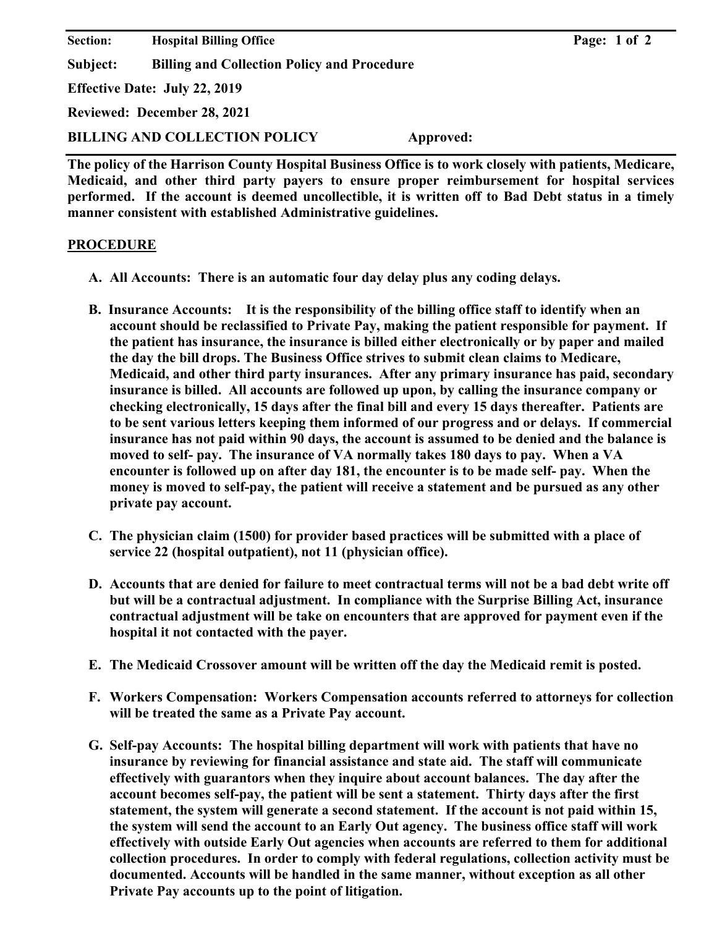**Section:** Hospital Billing Office **Page: 1 of 2 Page: 1 of 2 Subject: Billing and Collection Policy and Procedure Effective Date: July 22, 2019 Reviewed: December 28, 2021 BILLING AND COLLECTION POLICY Approved:** 

**The policy of the Harrison County Hospital Business Office is to work closely with patients, Medicare, Medicaid, and other third party payers to ensure proper reimbursement for hospital services performed. If the account is deemed uncollectible, it is written off to Bad Debt status in a timely manner consistent with established Administrative guidelines.** 

## **PROCEDURE**

- **A. All Accounts: There is an automatic four day delay plus any coding delays.**
- **B. Insurance Accounts: It is the responsibility of the billing office staff to identify when an account should be reclassified to Private Pay, making the patient responsible for payment. If the patient has insurance, the insurance is billed either electronically or by paper and mailed the day the bill drops. The Business Office strives to submit clean claims to Medicare, Medicaid, and other third party insurances. After any primary insurance has paid, secondary insurance is billed. All accounts are followed up upon, by calling the insurance company or checking electronically, 15 days after the final bill and every 15 days thereafter. Patients are to be sent various letters keeping them informed of our progress and or delays. If commercial insurance has not paid within 90 days, the account is assumed to be denied and the balance is moved to self- pay. The insurance of VA normally takes 180 days to pay. When a VA encounter is followed up on after day 181, the encounter is to be made self- pay. When the money is moved to self-pay, the patient will receive a statement and be pursued as any other private pay account.**
- **C. The physician claim (1500) for provider based practices will be submitted with a place of service 22 (hospital outpatient), not 11 (physician office).**
- **D. Accounts that are denied for failure to meet contractual terms will not be a bad debt write off but will be a contractual adjustment. In compliance with the Surprise Billing Act, insurance contractual adjustment will be take on encounters that are approved for payment even if the hospital it not contacted with the payer.**
- **E. The Medicaid Crossover amount will be written off the day the Medicaid remit is posted.**
- **F. Workers Compensation: Workers Compensation accounts referred to attorneys for collection will be treated the same as a Private Pay account.**
- **G. Self-pay Accounts: The hospital billing department will work with patients that have no insurance by reviewing for financial assistance and state aid. The staff will communicate effectively with guarantors when they inquire about account balances. The day after the account becomes self-pay, the patient will be sent a statement. Thirty days after the first statement, the system will generate a second statement. If the account is not paid within 15, the system will send the account to an Early Out agency. The business office staff will work effectively with outside Early Out agencies when accounts are referred to them for additional collection procedures. In order to comply with federal regulations, collection activity must be documented. Accounts will be handled in the same manner, without exception as all other Private Pay accounts up to the point of litigation.**